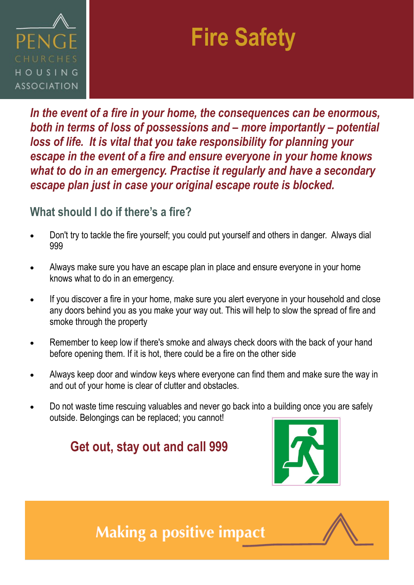

# **Fire Safety**

*In the event of a fire in your home, the consequences can be enormous, both in terms of loss of possessions and – more importantly – potential loss of life. It is vital that you take responsibility for planning your escape in the event of a fire and ensure everyone in your home knows what to do in an emergency. Practise it regularly and have a secondary escape plan just in case your original escape route is blocked.*

#### **What should I do if there's a fire?**

- Don't try to tackle the fire yourself; you could put yourself and others in danger. Always dial 999
- Always make sure you have an escape plan in place and ensure everyone in your home knows what to do in an emergency.
- If you discover a fire in your home, make sure you alert everyone in your household and close any doors behind you as you make your way out. This will help to slow the spread of fire and smoke through the property
- Remember to keep low if there's smoke and always check doors with the back of your hand before opening them. If it is hot, there could be a fire on the other side
- Always keep door and window keys where everyone can find them and make sure the way in and out of your home is clear of clutter and obstacles.
- Do not waste time rescuing valuables and never go back into a building once you are safely outside. Belongings can be replaced; you cannot!

### **Get out, stay out and call 999**



## **Making a positive impact**